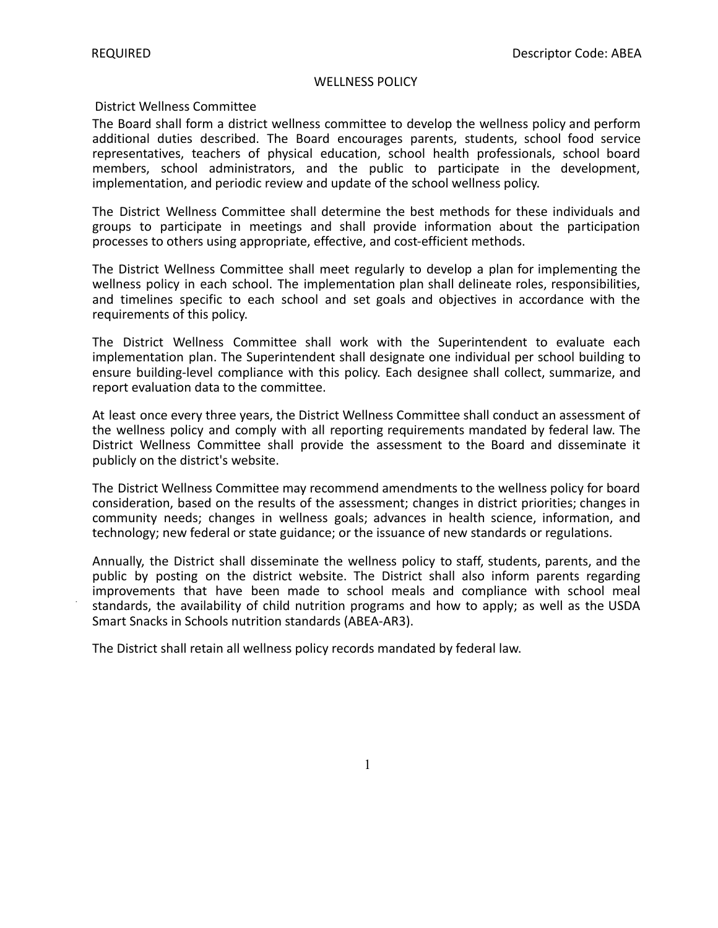#### WELLNESS POLICY

## District Wellness Committee

The Board shall form a district wellness committee to develop the wellness policy and perform additional duties described. The Board encourages parents, students, school food service representatives, teachers of physical education, school health professionals, school board members, school administrators, and the public to participate in the development, implementation, and periodic review and update of the school wellness policy.

The District Wellness Committee shall determine the best methods for these individuals and groups to participate in meetings and shall provide information about the participation processes to others using appropriate, effective, and cost-efficient methods.

The District Wellness Committee shall meet regularly to develop a plan for implementing the wellness policy in each school. The implementation plan shall delineate roles, responsibilities, and timelines specific to each school and set goals and objectives in accordance with the requirements of this policy.

The District Wellness Committee shall work with the Superintendent to evaluate each implementation plan. The Superintendent shall designate one individual per school building to ensure building-level compliance with this policy. Each designee shall collect, summarize, and report evaluation data to the committee.

At least once every three years, the District Wellness Committee shall conduct an assessment of the wellness policy and comply with all reporting requirements mandated by federal law. The District Wellness Committee shall provide the assessment to the Board and disseminate it publicly on the district's website.

The District Wellness Committee may recommend amendments to the wellness policy for board consideration, based on the results of the assessment; changes in district priorities; changes in community needs; changes in wellness goals; advances in health science, information, and technology; new federal or state guidance; or the issuance of new standards or regulations.

Annually, the District shall disseminate the wellness policy to staff, students, parents, and the public by posting on the district website. The District shall also inform parents regarding improvements that have been made to school meals and compliance with school meal standards, the availability of child nutrition programs and how to apply; as well as the USDA Smart Snacks in Schools nutrition standards (ABEA-AR3).

The District shall retain all wellness policy records mandated by federal law.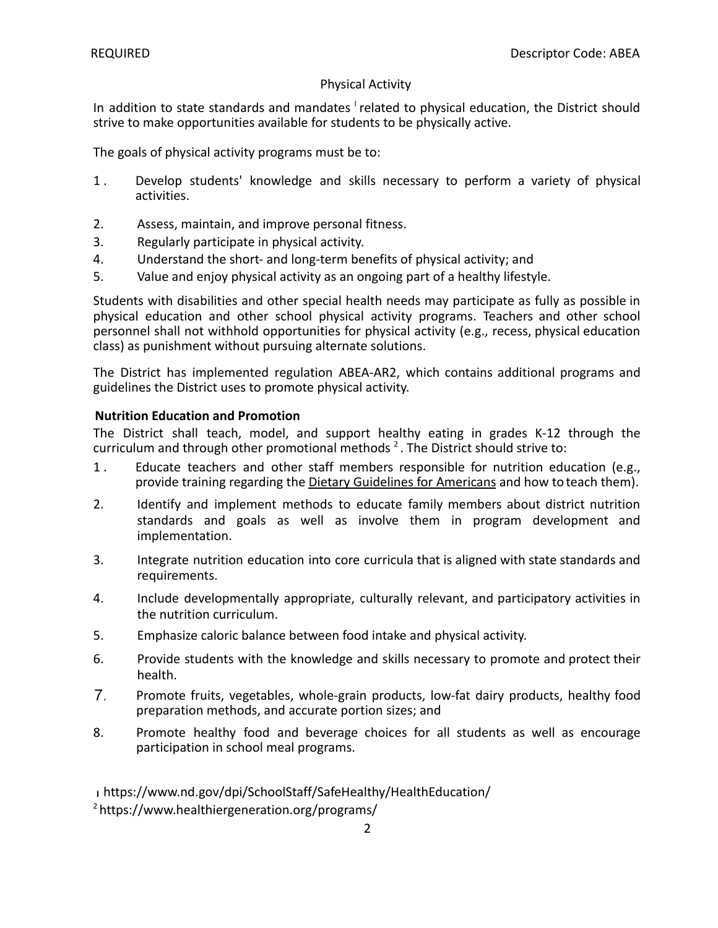# Physical Activity

In addition to state standards and mandates <sup>I</sup> related to physical education, the District should strive to make opportunities available for students to be physically active.

The goals of physical activity programs must be to:

- 1 . Develop students' knowledge and skills necessary to perform a variety of physical activities.
- 2. Assess, maintain, and improve personal fitness.
- 3. Regularly participate in physical activity.
- 4. Understand the short- and long-term benefits of physical activity; and
- 5. Value and enjoy physical activity as an ongoing part of a healthy lifestyle.

Students with disabilities and other special health needs may participate as fully as possible in physical education and other school physical activity programs. Teachers and other school personnel shall not withhold opportunities for physical activity (e.g., recess, physical education class) as punishment without pursuing alternate solutions.

The District has implemented regulation ABEA-AR2, which contains additional programs and guidelines the District uses to promote physical activity.

### **Nutrition Education and Promotion**

The District shall teach, model, and support healthy eating in grades K-12 through the curriculum and through other promotional methods  $^2$ . The District should strive to:

- 1 . Educate teachers and other staff members responsible for nutrition education (e.g., provide training regarding the Dietary Guidelines for Americans and how to teach them).
- 2. Identify and implement methods to educate family members about district nutrition standards and goals as well as involve them in program development and implementation.
- 3. Integrate nutrition education into core curricula that is aligned with state standards and requirements.
- 4. Include developmentally appropriate, culturally relevant, and participatory activities in the nutrition curriculum.
- 5. Emphasize caloric balance between food intake and physical activity.
- 6. Provide students with the knowledge and skills necessary to promote and protect their health.
- $7<sub>1</sub>$ Promote fruits, vegetables, whole-grain products, low-fat dairy products, healthy food preparation methods, and accurate portion sizes; and
- 8. Promote healthy food and beverage choices for all students as well as encourage participation in school meal programs.

# https://www.nd.gov/dpi/SchoolStaff/SafeHealthy/HealthEducation/

<sup>2</sup> https://www.healthiergeneration.org/programs/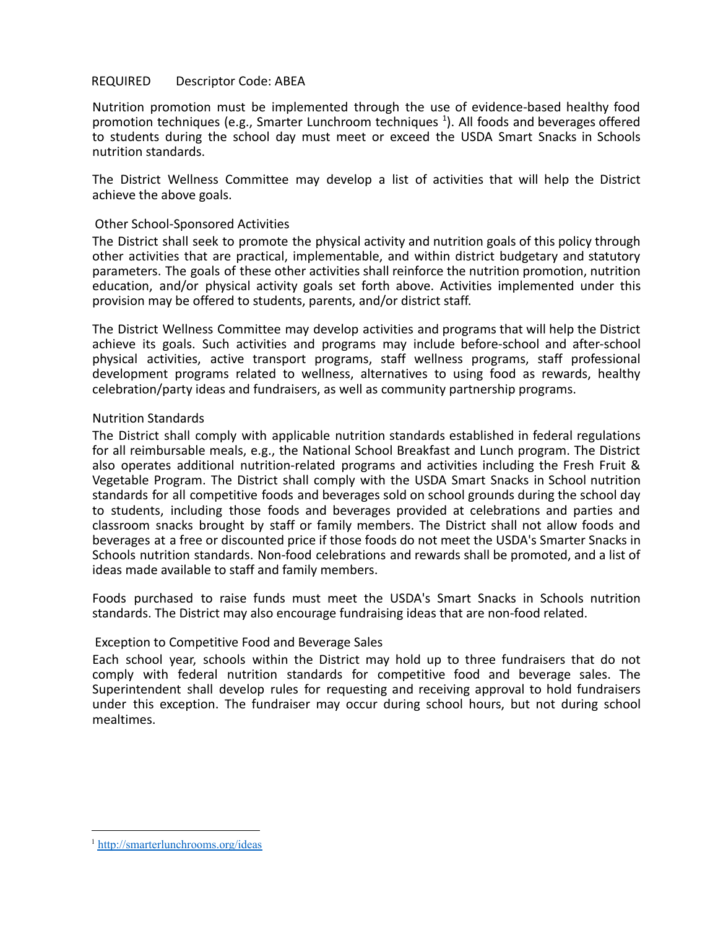# REQUIRED Descriptor Code: ABEA

Nutrition promotion must be implemented through the use of evidence-based healthy food promotion techniques (e.g., Smarter Lunchroom techniques  $<sup>1</sup>$ ). All foods and beverages offered</sup> to students during the school day must meet or exceed the USDA Smart Snacks in Schools nutrition standards.

The District Wellness Committee may develop a list of activities that will help the District achieve the above goals.

# Other School-Sponsored Activities

The District shall seek to promote the physical activity and nutrition goals of this policy through other activities that are practical, implementable, and within district budgetary and statutory parameters. The goals of these other activities shall reinforce the nutrition promotion, nutrition education, and/or physical activity goals set forth above. Activities implemented under this provision may be offered to students, parents, and/or district staff.

The District Wellness Committee may develop activities and programs that will help the District achieve its goals. Such activities and programs may include before-school and after-school physical activities, active transport programs, staff wellness programs, staff professional development programs related to wellness, alternatives to using food as rewards, healthy celebration/party ideas and fundraisers, as well as community partnership programs.

# Nutrition Standards

The District shall comply with applicable nutrition standards established in federal regulations for all reimbursable meals, e.g., the National School Breakfast and Lunch program. The District also operates additional nutrition-related programs and activities including the Fresh Fruit & Vegetable Program. The District shall comply with the USDA Smart Snacks in School nutrition standards for all competitive foods and beverages sold on school grounds during the school day to students, including those foods and beverages provided at celebrations and parties and classroom snacks brought by staff or family members. The District shall not allow foods and beverages at a free or discounted price if those foods do not meet the USDA's Smarter Snacks in Schools nutrition standards. Non-food celebrations and rewards shall be promoted, and a list of ideas made available to staff and family members.

Foods purchased to raise funds must meet the USDA's Smart Snacks in Schools nutrition standards. The District may also encourage fundraising ideas that are non-food related.

### Exception to Competitive Food and Beverage Sales

Each school year, schools within the District may hold up to three fundraisers that do not comply with federal nutrition standards for competitive food and beverage sales. The Superintendent shall develop rules for requesting and receiving approval to hold fundraisers under this exception. The fundraiser may occur during school hours, but not during school mealtimes.

<sup>1</sup> <http://smarterlunchrooms.org/ideas>